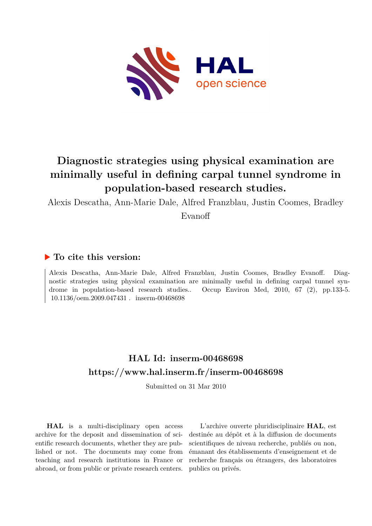

# **Diagnostic strategies using physical examination are minimally useful in defining carpal tunnel syndrome in population-based research studies.**

Alexis Descatha, Ann-Marie Dale, Alfred Franzblau, Justin Coomes, Bradley

Evanoff

### **To cite this version:**

Alexis Descatha, Ann-Marie Dale, Alfred Franzblau, Justin Coomes, Bradley Evanoff. Diagnostic strategies using physical examination are minimally useful in defining carpal tunnel syndrome in population-based research studies.. Occup Environ Med, 2010, 67 (2), pp.133-5.  $10.1136/\text{oem}.2009.047431$ . inserm-00468698

## **HAL Id: inserm-00468698 <https://www.hal.inserm.fr/inserm-00468698>**

Submitted on 31 Mar 2010

**HAL** is a multi-disciplinary open access archive for the deposit and dissemination of scientific research documents, whether they are published or not. The documents may come from teaching and research institutions in France or abroad, or from public or private research centers.

L'archive ouverte pluridisciplinaire **HAL**, est destinée au dépôt et à la diffusion de documents scientifiques de niveau recherche, publiés ou non, émanant des établissements d'enseignement et de recherche français ou étrangers, des laboratoires publics ou privés.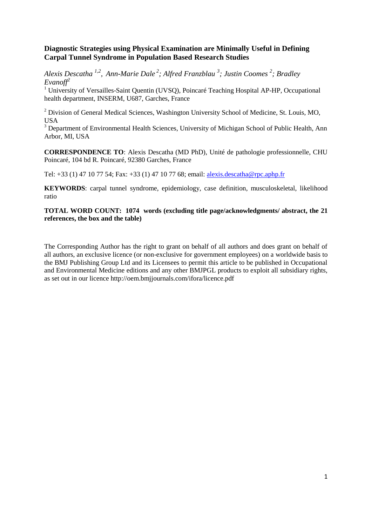#### **Diagnostic Strategies using Physical Examination are Minimally Useful in Defining Carpal Tunnel Syndrome in Population Based Research Studies**

*Alexis Descatha 1,2 , Ann-Marie Dale <sup>2</sup> ; Alfred Franzblau <sup>3</sup> ; Justin Coomes <sup>2</sup> ; Bradley Evanoff<sup>2</sup>*

<sup>1</sup> University of Versailles-Saint Quentin (UVSQ), Poincaré Teaching Hospital AP-HP, Occupational health department, INSERM, U687, Garches, France

<sup>2</sup> Division of General Medical Sciences, Washington University School of Medicine, St. Louis, MO, USA

<sup>3</sup> Department of Environmental Health Sciences, University of Michigan School of Public Health, Ann Arbor, MI, USA

**CORRESPONDENCE TO**: Alexis Descatha (MD PhD), Unité de pathologie professionnelle, CHU Poincaré, 104 bd R. Poincaré, 92380 Garches, France

Tel: +33 (1) 47 10 77 54; Fax: +33 (1) 47 10 77 68; email: [alexis.descatha@rpc.aphp.fr](mailto:alexis.descatha@rpc.aphp.fr)

**KEYWORDS**: carpal tunnel syndrome, epidemiology, case definition, musculoskeletal, likelihood ratio

**TOTAL WORD COUNT: 1074 words (excluding title page/acknowledgments/ abstract, the 21 references, the box and the table)**

The Corresponding Author has the right to grant on behalf of all authors and does grant on behalf of all authors, an exclusive licence (or non-exclusive for government employees) on a worldwide basis to the BMJ Publishing Group Ltd and its Licensees to permit this article to be published in Occupational and Environmental Medicine editions and any other BMJPGL products to exploit all subsidiary rights, as set out in our licence http://oem.bmjjournals.com/ifora/licence.pdf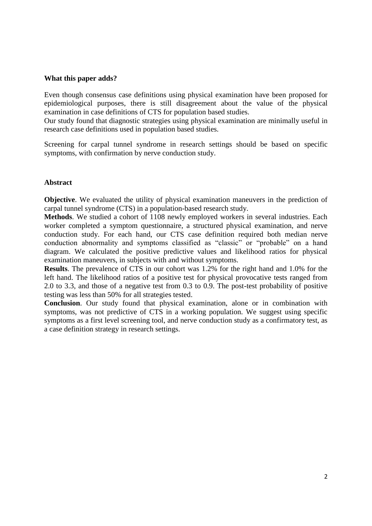#### **What this paper adds?**

Even though consensus case definitions using physical examination have been proposed for epidemiological purposes, there is still disagreement about the value of the physical examination in case definitions of CTS for population based studies.

Our study found that diagnostic strategies using physical examination are minimally useful in research case definitions used in population based studies.

Screening for carpal tunnel syndrome in research settings should be based on specific symptoms, with confirmation by nerve conduction study.

#### **Abstract**

**Objective**. We evaluated the utility of physical examination maneuvers in the prediction of carpal tunnel syndrome (CTS) in a population-based research study.

**Methods**. We studied a cohort of 1108 newly employed workers in several industries. Each worker completed a symptom questionnaire, a structured physical examination, and nerve conduction study. For each hand, our CTS case definition required both median nerve conduction abnormality and symptoms classified as "classic" or "probable" on a hand diagram. We calculated the positive predictive values and likelihood ratios for physical examination maneuvers, in subjects with and without symptoms.

**Results**. The prevalence of CTS in our cohort was 1.2% for the right hand and 1.0% for the left hand. The likelihood ratios of a positive test for physical provocative tests ranged from 2.0 to 3.3, and those of a negative test from 0.3 to 0.9. The post-test probability of positive testing was less than 50% for all strategies tested.

**Conclusion**. Our study found that physical examination, alone or in combination with symptoms, was not predictive of CTS in a working population. We suggest using specific symptoms as a first level screening tool, and nerve conduction study as a confirmatory test, as a case definition strategy in research settings.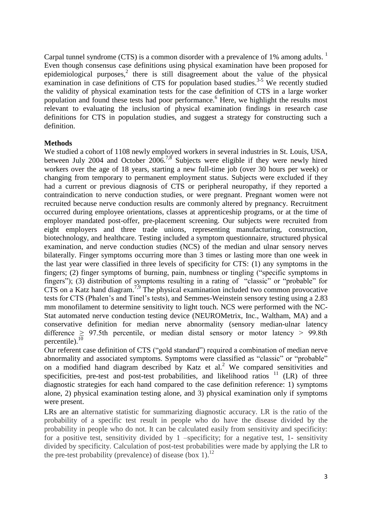Carpal tunnel syndrome (CTS) is a common disorder with a prevalence of 1% among adults.<sup>1</sup> Even though consensus case definitions using physical examination have been proposed for epidemiological purposes, $2$  there is still disagreement about the value of the physical examination in case definitions of CTS for population based studies.<sup>3-5</sup> We recently studied the validity of physical examination tests for the case definition of CTS in a large worker population and found these tests had poor performance.<sup>6</sup> Here, we highlight the results most relevant to evaluating the inclusion of physical examination findings in research case definitions for CTS in population studies, and suggest a strategy for constructing such a definition.

#### **Methods**

We studied a cohort of 1108 newly employed workers in several industries in St. Louis, USA, between July 2004 and October  $2006<sup>7,8</sup>$  Subjects were eligible if they were newly hired workers over the age of 18 years, starting a new full-time job (over 30 hours per week) or changing from temporary to permanent employment status. Subjects were excluded if they had a current or previous diagnosis of CTS or peripheral neuropathy, if they reported a contraindication to nerve conduction studies, or were pregnant. Pregnant women were not recruited because nerve conduction results are commonly altered by pregnancy. Recruitment occurred during employee orientations, classes at apprenticeship programs, or at the time of employer mandated post-offer, pre-placement screening. Our subjects were recruited from eight employers and three trade unions, representing manufacturing, construction, biotechnology, and healthcare. Testing included a symptom questionnaire, structured physical examination, and nerve conduction studies (NCS) of the median and ulnar sensory nerves bilaterally. Finger symptoms occurring more than 3 times or lasting more than one week in the last year were classified in three levels of specificity for CTS: (1) any symptoms in the fingers; (2) finger symptoms of burning, pain, numbness or tingling ("specific symptoms in fingers"); (3) distribution of symptoms resulting in a rating of "classic" or "probable" for CTS on a Katz hand diagram.<sup>7,9</sup> The physical examination included two common provocative tests for CTS (Phalen's and Tinel's tests), and Semmes-Weinstein sensory testing using a 2.83 mm monofilament to determine sensitivity to light touch. NCS were performed with the NC-Stat automated nerve conduction testing device (NEUROMetrix, Inc., Waltham, MA) and a conservative definition for median nerve abnormality (sensory median-ulnar latency difference  $\geq$  97.5th percentile, or median distal sensory or motor latency  $>$  99.8th percentile). $\frac{10}{10}$ 

Our referent case definition of CTS ("gold standard") required a combination of median nerve abnormality and associated symptoms. Symptoms were classified as "classic" or "probable" on a modified hand diagram described by Katz et al.<sup>2</sup> We compared sensitivities and specificities, pre-test and post-test probabilities, and likelihood ratios <sup>11</sup> (LR) of three diagnostic strategies for each hand compared to the case definition reference: 1) symptoms alone, 2) physical examination testing alone, and 3) physical examination only if symptoms were present.

LRs are an alternative statistic for summarizing diagnostic accuracy. LR is the ratio of the probability of a specific test result in people who do have the disease divided by the probability in people who do not. It can be calculated easily from sensitivity and specificity: for a positive test, sensitivity divided by  $1$  –specificity; for a negative test, 1- sensitivity divided by specificity. Calculation of post-test probabilities were made by applying the LR to the pre-test probability (prevalence) of disease (box 1).<sup>12</sup>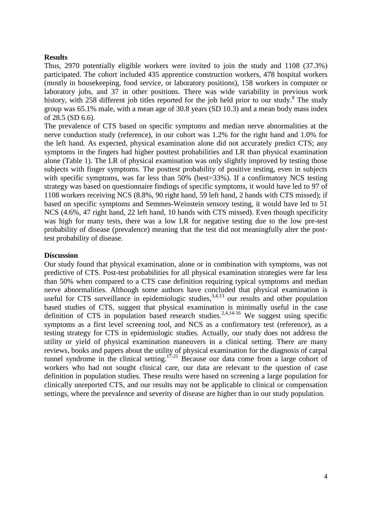#### **Results**

Thus, 2970 potentially eligible workers were invited to join the study and 1108 (37.3%) participated. The cohort included 435 apprentice construction workers, 478 hospital workers (mostly in housekeeping, food service, or laboratory positions), 158 workers in computer or laboratory jobs, and 37 in other positions. There was wide variability in previous work history, with 258 different job titles reported for the job held prior to our study.<sup>8</sup> The study group was 65.1% male, with a mean age of 30.8 years (SD 10.3) and a mean body mass index of 28.5 (SD 6.6).

The prevalence of CTS based on specific symptoms and median nerve abnormalities at the nerve conduction study (reference), in our cohort was 1.2% for the right hand and 1.0% for the left hand. As expected, physical examination alone did not accurately predict CTS; any symptoms in the fingers had higher posttest probabilities and LR than physical examination alone (Table 1). The LR of physical examination was only slightly improved by testing those subjects with finger symptoms. The posttest probability of positive testing, even in subjects with specific symptoms, was far less than 50% (best=33%). If a confirmatory NCS testing strategy was based on questionnaire findings of specific symptoms, it would have led to 97 of 1108 workers receiving NCS (8.8%, 90 right hand, 59 left hand, 2 hands with CTS missed); if based on specific symptoms and Semmes-Weinstein sensory testing, it would have led to 51 NCS (4.6%, 47 right hand, 22 left hand, 10 hands with CTS missed). Even though specificity was high for many tests, there was a low LR for negative testing due to the low pre-test probability of disease (prevalence) meaning that the test did not meaningfully alter the posttest probability of disease.

#### **Discussion**

Our study found that physical examination, alone or in combination with symptoms, was not predictive of CTS. Post-test probabilities for all physical examination strategies were far less than 50% when compared to a CTS case definition requiring typical symptoms and median nerve abnormalities. Although some authors have concluded that physical examination is useful for CTS surveillance in epidemiologic studies,  $3,4,13$  our results and other population based studies of CTS, suggest that physical examination is minimally useful in the case definition of CTS in population based research studies.<sup>2,4,14-16</sup> We suggest using specific symptoms as a first level screening tool, and NCS as a confirmatory test (reference), as a testing strategy for CTS in epidemiologic studies. Actually, our study does not address the utility or yield of physical examination maneuvers in a clinical setting. There are many reviews, books and papers about the utility of physical examination for the diagnosis of carpal tunnel syndrome in the clinical setting.<sup>17-21</sup> Because our data come from a large cohort of workers who had not sought clinical care, our data are relevant to the question of case definition in population studies. These results were based on screening a large population for clinically unreported CTS, and our results may not be applicable to clinical or compensation settings, where the prevalence and severity of disease are higher than in our study population.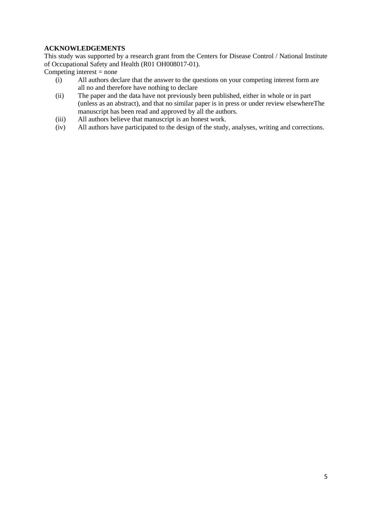#### **ACKNOWLEDGEMENTS**

This study was supported by a research grant from the Centers for Disease Control / National Institute of Occupational Safety and Health (R01 OH008017-01).

Competing interest  $=$  none

- (i) All authors declare that the answer to the questions on your competing interest form are all no and therefore have nothing to declare
- (ii) The paper and the data have not previously been published, either in whole or in part (unless as an abstract), and that no similar paper is in press or under review elsewhereThe manuscript has been read and approved by all the authors.
- (iii) All authors believe that manuscript is an honest work.<br>(iv) All authors have participated to the design of the study
- All authors have participated to the design of the study, analyses, writing and corrections.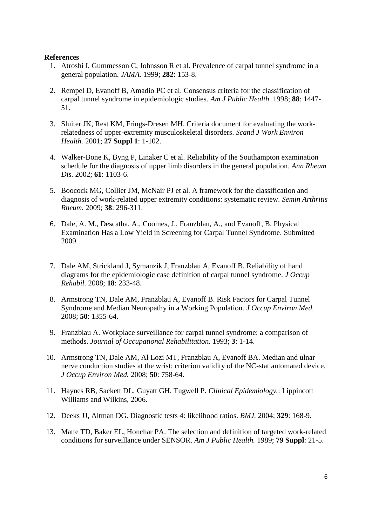#### **References**

- 1. Atroshi I, Gummesson C, Johnsson R et al. Prevalence of carpal tunnel syndrome in a general population. *JAMA.* 1999; **282**: 153-8.
- 2. Rempel D, Evanoff B, Amadio PC et al. Consensus criteria for the classification of carpal tunnel syndrome in epidemiologic studies. *Am J Public Health.* 1998; **88**: 1447- 51.
- 3. Sluiter JK, Rest KM, Frings-Dresen MH. Criteria document for evaluating the workrelatedness of upper-extremity musculoskeletal disorders. *Scand J Work Environ Health.* 2001; **27 Suppl 1**: 1-102.
- 4. Walker-Bone K, Byng P, Linaker C et al. Reliability of the Southampton examination schedule for the diagnosis of upper limb disorders in the general population. *Ann Rheum Dis.* 2002; **61**: 1103-6.
- 5. Boocock MG, Collier JM, McNair PJ et al. A framework for the classification and diagnosis of work-related upper extremity conditions: systematic review. *Semin Arthritis Rheum.* 2009; **38**: 296-311.
- 6. Dale, A. M., Descatha, A., Coomes, J., Franzblau, A., and Evanoff, B. Physical Examination Has a Low Yield in Screening for Carpal Tunnel Syndrome. Submitted 2009.
- 7. Dale AM, Strickland J, Symanzik J, Franzblau A, Evanoff B. Reliability of hand diagrams for the epidemiologic case definition of carpal tunnel syndrome. *J Occup Rehabil.* 2008; **18**: 233-48.
- 8. Armstrong TN, Dale AM, Franzblau A, Evanoff B. Risk Factors for Carpal Tunnel Syndrome and Median Neuropathy in a Working Population. *J Occup Environ Med.* 2008; **50**: 1355-64.
- 9. Franzblau A. Workplace surveillance for carpal tunnel syndrome: a comparison of methods. *Journal of Occupational Rehabilitation.* 1993; **3**: 1-14.
- 10. Armstrong TN, Dale AM, Al Lozi MT, Franzblau A, Evanoff BA. Median and ulnar nerve conduction studies at the wrist: criterion validity of the NC-stat automated device. *J Occup Environ Med.* 2008; **50**: 758-64.
- 11. Haynes RB, Sackett DL, Guyatt GH, Tugwell P. *Clinical Epidemiology.*: Lippincott Williams and Wilkins, 2006.
- 12. Deeks JJ, Altman DG. Diagnostic tests 4: likelihood ratios. *BMJ.* 2004; **329**: 168-9.
- 13. Matte TD, Baker EL, Honchar PA. The selection and definition of targeted work-related conditions for surveillance under SENSOR. *Am J Public Health.* 1989; **79 Suppl**: 21-5.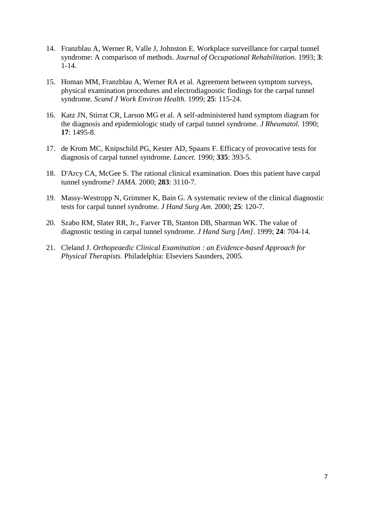- 14. Franzblau A, Werner R, Valle J, Johnston E. Workplace surveillance for carpal tunnel syndrome: A comparison of methods. *Journal of Occupational Rehabilitation.* 1993; **3**: 1-14.
- 15. Homan MM, Franzblau A, Werner RA et al. Agreement between symptom surveys, physical examination procedures and electrodiagnostic findings for the carpal tunnel syndrome. *Scand J Work Environ Health.* 1999; **25**: 115-24.
- 16. Katz JN, Stirrat CR, Larson MG et al. A self-administered hand symptom diagram for the diagnosis and epidemiologic study of carpal tunnel syndrome. *J Rheumatol.* 1990; **17**: 1495-8.
- 17. de Krom MC, Knipschild PG, Kester AD, Spaans F. Efficacy of provocative tests for diagnosis of carpal tunnel syndrome. *Lancet.* 1990; **335**: 393-5.
- 18. D'Arcy CA, McGee S. The rational clinical examination. Does this patient have carpal tunnel syndrome? *JAMA.* 2000; **283**: 3110-7.
- 19. Massy-Westropp N, Grimmer K, Bain G. A systematic review of the clinical diagnostic tests for carpal tunnel syndrome. *J Hand Surg Am.* 2000; **25**: 120-7.
- 20. Szabo RM, Slater RR, Jr., Farver TB, Stanton DB, Sharman WK. The value of diagnostic testing in carpal tunnel syndrome. *J Hand Surg [Am].* 1999; **24**: 704-14.
- 21. Cleland J. *Orthopeaedic Clinical Examination : an Evidence-based Approach for Physical Therapists.* Philadelphia: Elseviers Saunders, 2005.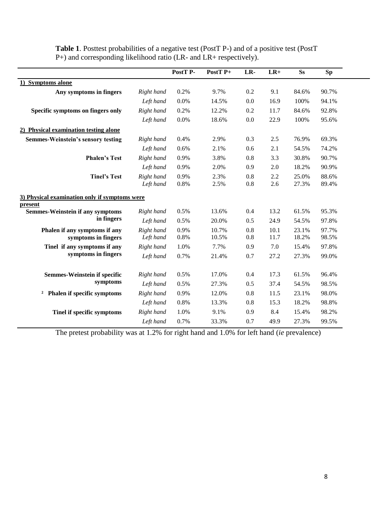|                                                          |                         | PostT P-     | PostT <sub>P+</sub> | LR-        | $LR+$        | <b>Ss</b>      | <b>Sp</b>      |
|----------------------------------------------------------|-------------------------|--------------|---------------------|------------|--------------|----------------|----------------|
| 1) Symptoms alone                                        |                         |              |                     |            |              |                |                |
| Any symptoms in fingers                                  | Right hand              | 0.2%         | 9.7%                | 0.2        | 9.1          | 84.6%          | 90.7%          |
|                                                          | Left hand               | 0.0%         | 14.5%               | 0.0        | 16.9         | 100%           | 94.1%          |
| Specific symptoms on fingers only                        | Right hand              | 0.2%         | 12.2%               | 0.2        | 11.7         | 84.6%          | 92.8%          |
|                                                          | Left hand               | 0.0%         | 18.6%               | 0.0        | 22.9         | 100%           | 95.6%          |
| 2) Physical examination testing alone                    |                         |              |                     |            |              |                |                |
| <b>Semmes-Weinstein's sensory testing</b>                | Right hand              | 0.4%         | 2.9%                | 0.3        | 2.5          | 76.9%          | 69.3%          |
|                                                          | Left hand               | 0.6%         | 2.1%                | 0.6        | 2.1          | 54.5%          | 74.2%          |
| <b>Phalen's Test</b>                                     | Right hand              | 0.9%         | 3.8%                | 0.8        | 3.3          | 30.8%          | 90.7%          |
|                                                          | Left hand               | 0.9%         | 2.0%                | 0.9        | 2.0          | 18.2%          | 90.9%          |
| <b>Tinel's Test</b>                                      | Right hand              | 0.9%         | 2.3%                | 0.8        | 2.2          | 25.0%          | 88.6%          |
|                                                          | Left hand               | 0.8%         | 2.5%                | 0.8        | 2.6          | 27.3%          | 89.4%          |
| 3) Physical examination only if symptoms were<br>present |                         |              |                     |            |              |                |                |
| <b>Semmes-Weinstein if any symptoms</b>                  | Right hand              | 0.5%         | 13.6%               | 0.4        | 13.2         | 61.5%          | 95.3%          |
| in fingers                                               | Left hand               | 0.5%         | 20.0%               | 0.5        | 24.9         | 54.5%          | 97.8%          |
| Phalen if any symptoms if any<br>symptoms in fingers     | Right hand<br>Left hand | 0.9%<br>0.8% | 10.7%<br>10.5%      | 0.8<br>0.8 | 10.1<br>11.7 | 23.1%<br>18.2% | 97.7%<br>98.5% |
| Tinel if any symptoms if any<br>symptoms in fingers      | Right hand              | 1.0%         | 7.7%                | 0.9        | 7.0          | 15.4%          | 97.8%          |
|                                                          | Left hand               | 0.7%         | 21.4%               | 0.7        | 27.2         | 27.3%          | 99.0%          |
| <b>Semmes-Weinstein if specific</b>                      | Right hand              | 0.5%         | 17.0%               | 0.4        | 17.3         | 61.5%          | 96.4%          |
| symptoms                                                 | Left hand               | 0.5%         | 27.3%               | 0.5        | 37.4         | 54.5%          | 98.5%          |
| <sup>2</sup> Phalen if specific symptoms                 | Right hand              | 0.9%         | 12.0%               | 0.8        | 11.5         | 23.1%          | 98.0%          |
|                                                          | Left hand               | 0.8%         | 13.3%               | 0.8        | 15.3         | 18.2%          | 98.8%          |
| Tinel if specific symptoms                               | Right hand              | 1.0%         | 9.1%                | 0.9        | 8.4          | 15.4%          | 98.2%          |
|                                                          | Left hand               | 0.7%         | 33.3%               | 0.7        | 49.9         | 27.3%          | 99.5%          |

**Table 1**. Posttest probabilities of a negative test (PostT P-) and of a positive test (PostT P+) and corresponding likelihood ratio (LR- and LR+ respectively).

The pretest probability was at 1.2% for right hand and 1.0% for left hand (*ie* prevalence)